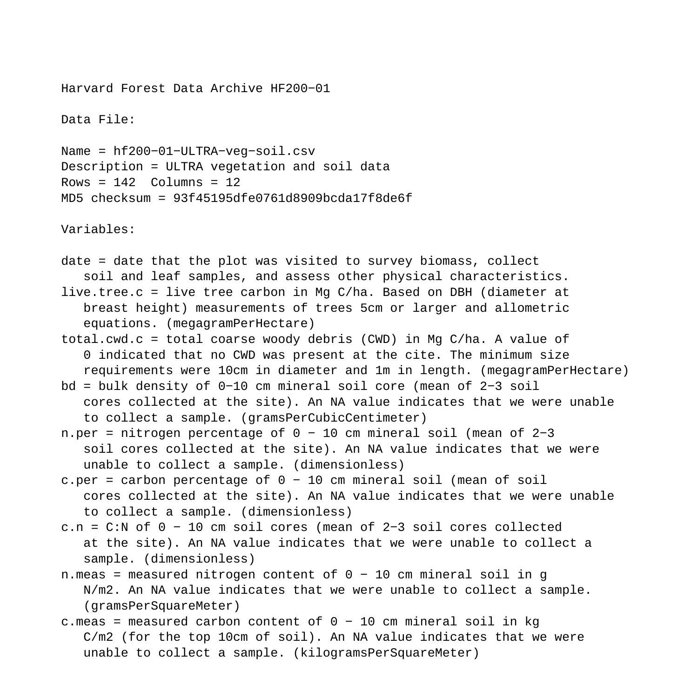Harvard Forest Data Archive HF200−01

Data File:

Name = hf200−01−ULTRA−veg−soil.csv Description = ULTRA vegetation and soil data Rows =  $142$  Columns =  $12$ MD5 checksum = 93f45195dfe0761d8909bcda17f8de6f

Variables:

- date = date that the plot was visited to survey biomass, collect soil and leaf samples, and assess other physical characteristics. live.tree.c = live tree carbon in Mg C/ha. Based on DBH (diameter at breast height) measurements of trees 5cm or larger and allometric equations. (megagramPerHectare) total.cwd.c = total coarse woody debris (CWD) in Mg C/ha. A value of 0 indicated that no CWD was present at the cite. The minimum size requirements were 10cm in diameter and 1m in length. (megagramPerHectare) bd = bulk density of 0−10 cm mineral soil core (mean of 2−3 soil cores collected at the site). An NA value indicates that we were unable to collect a sample. (gramsPerCubicCentimeter) n.per = nitrogen percentage of 0 − 10 cm mineral soil (mean of 2−3
- soil cores collected at the site). An NA value indicates that we were unable to collect a sample. (dimensionless)
- c.per = carbon percentage of 0 − 10 cm mineral soil (mean of soil cores collected at the site). An NA value indicates that we were unable to collect a sample. (dimensionless)
- c.n = C:N of 0 − 10 cm soil cores (mean of 2−3 soil cores collected at the site). An NA value indicates that we were unable to collect a sample. (dimensionless)
- n.meas = measured nitrogen content of 0 − 10 cm mineral soil in g N/m2. An NA value indicates that we were unable to collect a sample. (gramsPerSquareMeter)
- c.meas = measured carbon content of 0 − 10 cm mineral soil in kg C/m2 (for the top 10cm of soil). An NA value indicates that we were unable to collect a sample. (kilogramsPerSquareMeter)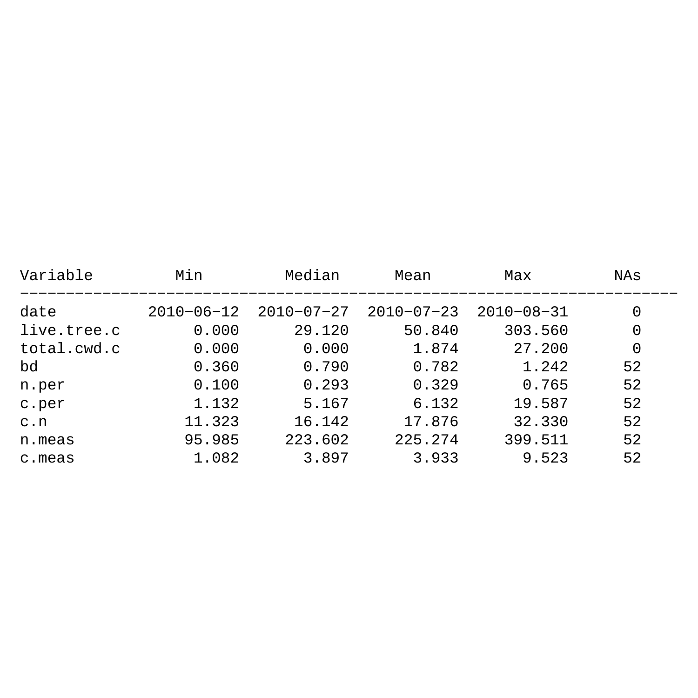| Variable    | Min              | Median           | Mean             | Max              | NAs |
|-------------|------------------|------------------|------------------|------------------|-----|
| date        | $2010 - 06 - 12$ | $2010 - 07 - 27$ | $2010 - 07 - 23$ | $2010 - 08 - 31$ | 0   |
| live.tree.c | 0.000            | 29.120           | 50.840           | 303.560          | 0   |
| total.cwd.c | 0.000            | 0.000            | 1.874            | 27.200           | 0   |
| bd          | 0.360            | 0.790            | 0.782            | 1.242            | 52  |
| n.per       | 0.100            | 0.293            | 0.329            | 0.765            | 52  |
| c.per       | 1.132            | 5.167            | 6.132            | 19.587           | 52  |
| c.n         | 11.323           | 16.142           | 17.876           | 32.330           | 52  |
| n.meas      | 95.985           | 223.602          | 225.274          | 399.511          | 52  |
| c.meas      | 1.082            | 3.897            | 3.933            | 9.523            | 52  |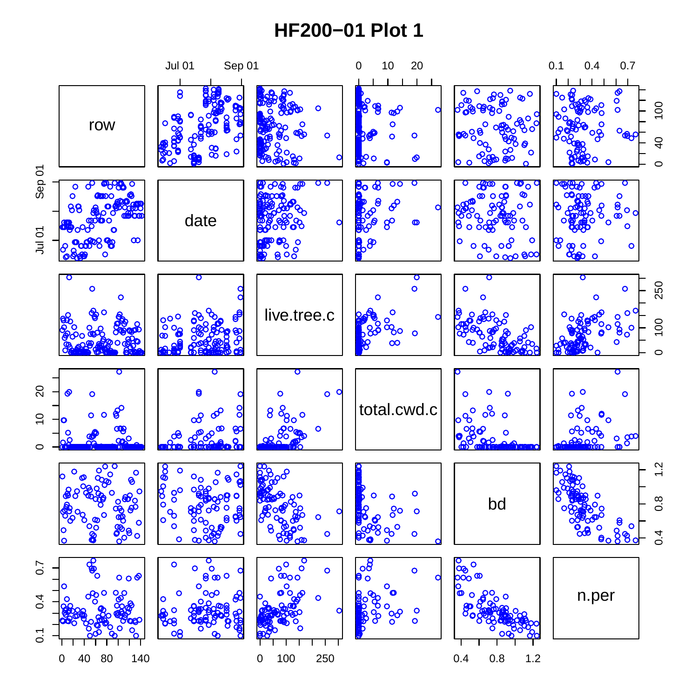## **HF200−01 Plot 1**